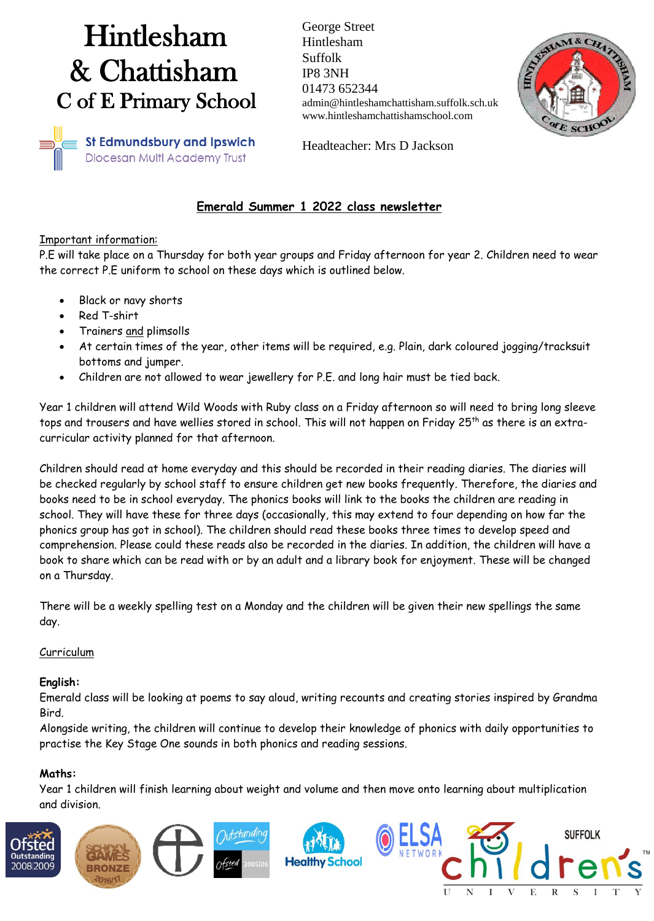# Hintlesham & Chattisham C of E Primary School

George Street Hintlesham Suffolk IP8 3NH 01473 652344 admin@hintleshamchattisham.suffolk.sch.uk www.hintleshamchattishamschool.com



**St Edmundsbury and Ipswich** Diocesan Multi Academy Trust

Headteacher: Mrs D Jackson

# **Emerald Summer 1 2022 class newsletter**

#### Important information:

P.E will take place on a Thursday for both year groups and Friday afternoon for year 2. Children need to wear the correct P.E uniform to school on these days which is outlined below.

- Black or navy shorts
- Red T-shirt
- Trainers and plimsolls
- At certain times of the year, other items will be required, e.g. Plain, dark coloured jogging/tracksuit bottoms and jumper.
- Children are not allowed to wear jewellery for P.E. and long hair must be tied back.

Year 1 children will attend Wild Woods with Ruby class on a Friday afternoon so will need to bring long sleeve tops and trousers and have wellies stored in school. This will not happen on Friday 25<sup>th</sup> as there is an extracurricular activity planned for that afternoon.

Children should read at home everyday and this should be recorded in their reading diaries. The diaries will be checked regularly by school staff to ensure children get new books frequently. Therefore, the diaries and books need to be in school everyday. The phonics books will link to the books the children are reading in school. They will have these for three days (occasionally, this may extend to four depending on how far the phonics group has got in school). The children should read these books three times to develop speed and comprehension. Please could these reads also be recorded in the diaries. In addition, the children will have a book to share which can be read with or by an adult and a library book for enjoyment. These will be changed on a Thursday.

There will be a weekly spelling test on a Monday and the children will be given their new spellings the same day.

# Curriculum

# **English:**

Emerald class will be looking at poems to say aloud, writing recounts and creating stories inspired by Grandma Bird.

Alongside writing, the children will continue to develop their knowledge of phonics with daily opportunities to practise the Key Stage One sounds in both phonics and reading sessions.

# **Maths:**

Year 1 children will finish learning about weight and volume and then move onto learning about multiplication and division.